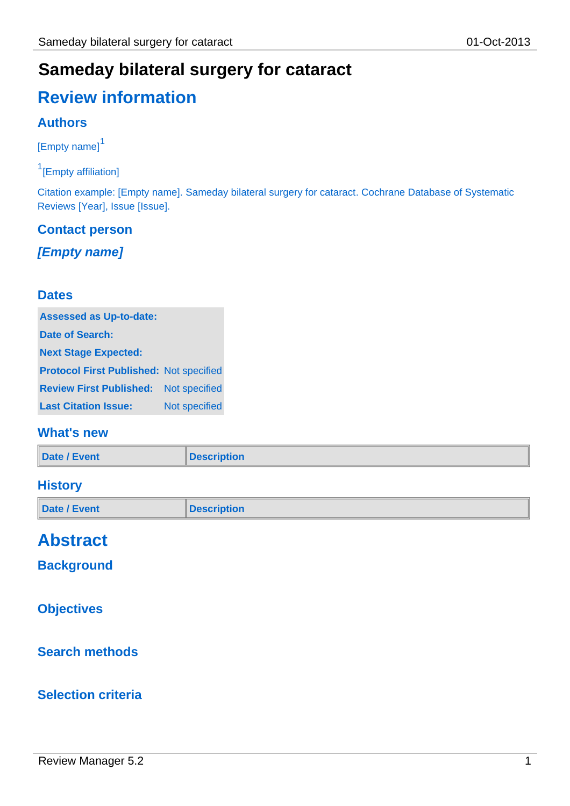## **Sameday bilateral surgery for cataract**

# **Review information**

### **Authors**

[Empty name]<sup>1</sup>

<sup>1</sup>[Empty affiliation]

Citation example: [Empty name]. Sameday bilateral surgery for cataract. Cochrane Database of Systematic Reviews [Year], Issue [Issue].

### **Contact person**

*[Empty name]*

### **Dates**

| <b>Assessed as Up-to-date:</b>                 |                      |
|------------------------------------------------|----------------------|
| Date of Search:                                |                      |
| <b>Next Stage Expected:</b>                    |                      |
| <b>Protocol First Published: Not specified</b> |                      |
| <b>Review First Published:</b>                 | <b>Not specified</b> |
| <b>Last Citation Issue:</b>                    | Not specified        |

### **What's new**

| <b>Date / Event</b> | Description |
|---------------------|-------------|
|                     |             |

### **History**

| Date / Event | <b>Description</b> |
|--------------|--------------------|
|              |                    |

## **Abstract**

**Background**

### **Objectives**

### **Search methods**

### **Selection criteria**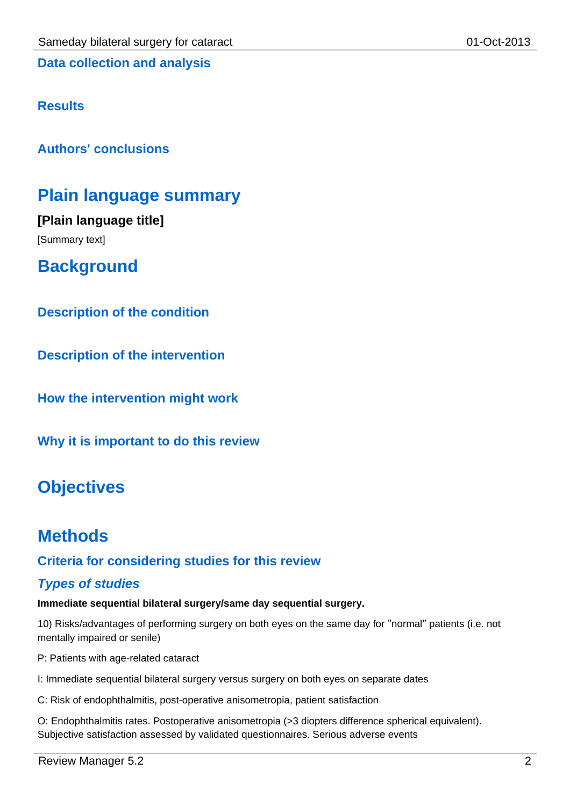### **Results**

**Authors' conclusions**

### **Plain language summary**

**[Plain language title]** [Summary text]

**Background**

**Description of the condition**

**Description of the intervention**

**How the intervention might work**

**Why it is important to do this review**

## **Objectives**

### **Methods**

### **Criteria for considering studies for this review**

#### *Types of studies*

**Immediate sequential bilateral surgery/same day sequential surgery.**

10) Risks/advantages of performing surgery on both eyes on the same day for "normal" patients (i.e. not mentally impaired or senile)

P: Patients with age-related cataract

I: Immediate sequential bilateral surgery versus surgery on both eyes on separate dates

C: Risk of endophthalmitis, post-operative anisometropia, patient satisfaction

O: Endophthalmitis rates. Postoperative anisometropia (>3 diopters difference spherical equivalent). Subjective satisfaction assessed by validated questionnaires. Serious adverse events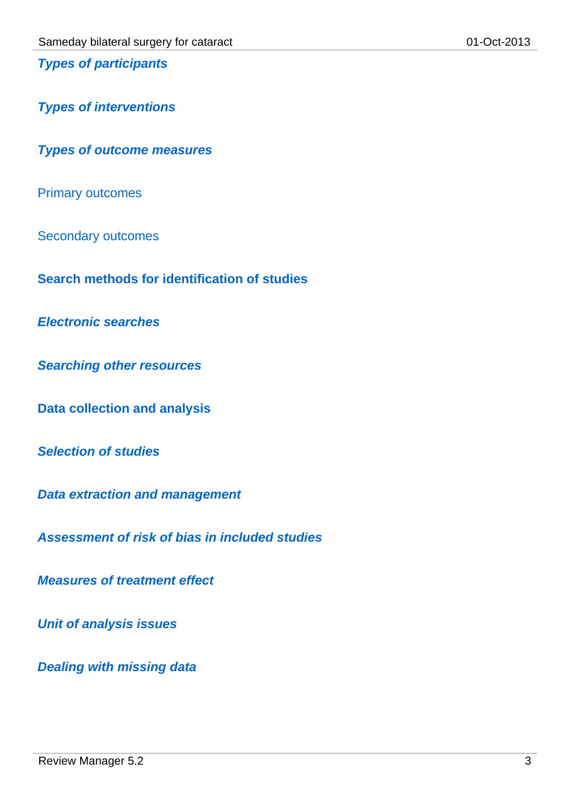*Types of participants*

*Types of interventions*

*Types of outcome measures*

Primary outcomes

Secondary outcomes

**Search methods for identification of studies**

*Electronic searches*

*Searching other resources*

**Data collection and analysis**

*Selection of studies*

*Data extraction and management*

*Assessment of risk of bias in included studies*

*Measures of treatment effect*

*Unit of analysis issues*

*Dealing with missing data*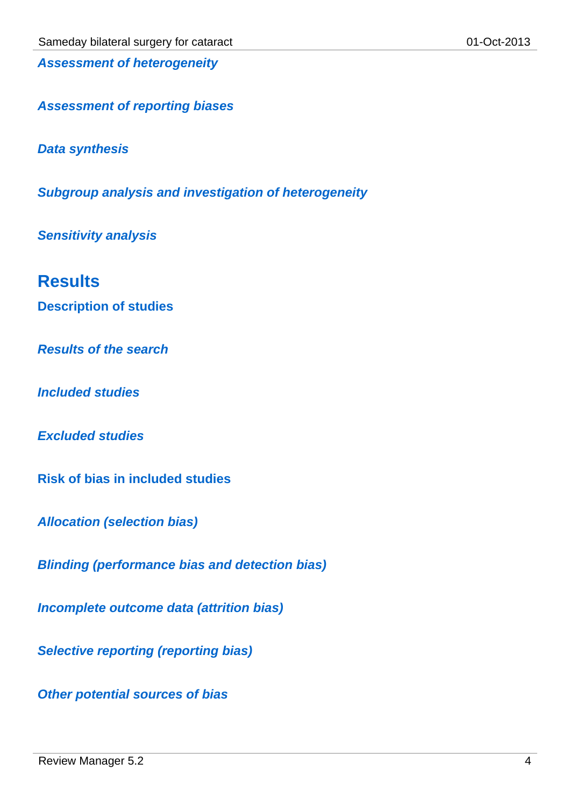*Assessment of heterogeneity*

*Assessment of reporting biases*

*Data synthesis*

*Subgroup analysis and investigation of heterogeneity*

*Sensitivity analysis*

### **Results**

**Description of studies**

*Results of the search*

*Included studies*

*Excluded studies*

**Risk of bias in included studies**

*Allocation (selection bias)*

*Blinding (performance bias and detection bias)*

*Incomplete outcome data (attrition bias)*

*Selective reporting (reporting bias)*

*Other potential sources of bias*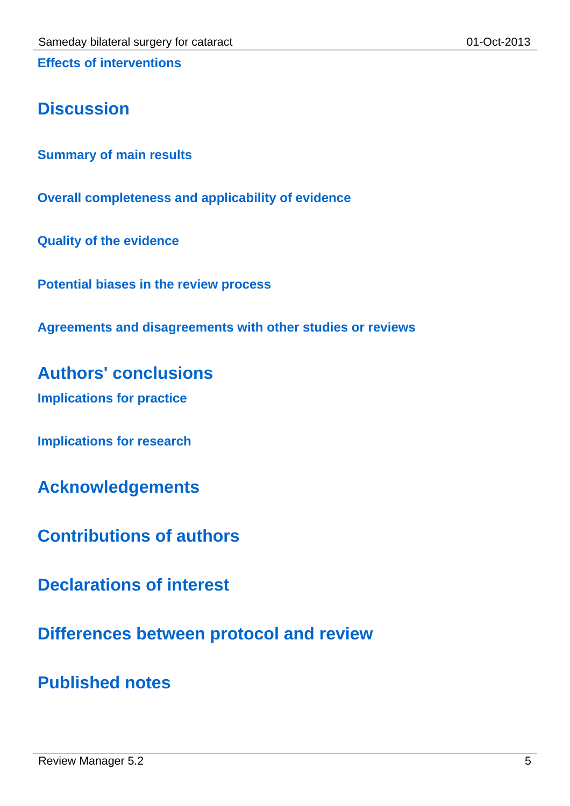**Effects of interventions**

## **Discussion**

**Summary of main results**

**Overall completeness and applicability of evidence**

**Quality of the evidence**

**Potential biases in the review process**

**Agreements and disagreements with other studies or reviews**

**Authors' conclusions Implications for practice**

**Implications for research**

**Acknowledgements**

**Contributions of authors**

**Declarations of interest**

**Differences between protocol and review**

**Published notes**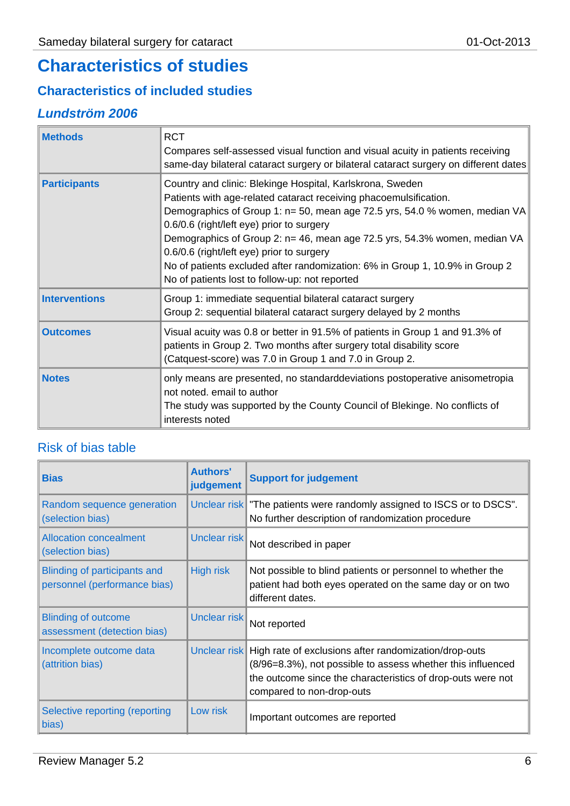## **Characteristics of studies**

### **Characteristics of included studies**

### *Lundström 2006*

| <b>Methods</b>       | <b>RCT</b><br>Compares self-assessed visual function and visual acuity in patients receiving<br>same-day bilateral cataract surgery or bilateral cataract surgery on different dates                                                                                                                                                                                                                                                                                                                                  |
|----------------------|-----------------------------------------------------------------------------------------------------------------------------------------------------------------------------------------------------------------------------------------------------------------------------------------------------------------------------------------------------------------------------------------------------------------------------------------------------------------------------------------------------------------------|
| <b>Participants</b>  | Country and clinic: Blekinge Hospital, Karlskrona, Sweden<br>Patients with age-related cataract receiving phacoemulsification.<br>Demographics of Group 1: n= 50, mean age 72.5 yrs, 54.0 % women, median VA<br>0.6/0.6 (right/left eye) prior to surgery<br>Demographics of Group 2: n= 46, mean age 72.5 yrs, 54.3% women, median VA<br>0.6/0.6 (right/left eye) prior to surgery<br>No of patients excluded after randomization: 6% in Group 1, 10.9% in Group 2<br>No of patients lost to follow-up: not reported |
| <b>Interventions</b> | Group 1: immediate sequential bilateral cataract surgery<br>Group 2: sequential bilateral cataract surgery delayed by 2 months                                                                                                                                                                                                                                                                                                                                                                                        |
| <b>Outcomes</b>      | Visual acuity was 0.8 or better in 91.5% of patients in Group 1 and 91.3% of<br>patients in Group 2. Two months after surgery total disability score<br>(Catquest-score) was 7.0 in Group 1 and 7.0 in Group 2.                                                                                                                                                                                                                                                                                                       |
| <b>Notes</b>         | only means are presented, no standarddeviations postoperative anisometropia<br>not noted. email to author<br>The study was supported by the County Council of Blekinge. No conflicts of<br>interests noted                                                                                                                                                                                                                                                                                                            |

### Risk of bias table

| <b>Bias</b>                                                         | <b>Authors'</b><br>judgement | <b>Support for judgement</b>                                                                                                                                                                                                  |
|---------------------------------------------------------------------|------------------------------|-------------------------------------------------------------------------------------------------------------------------------------------------------------------------------------------------------------------------------|
| Random sequence generation<br>(selection bias)                      |                              | Unclear risk The patients were randomly assigned to ISCS or to DSCS".<br>No further description of randomization procedure                                                                                                    |
| <b>Allocation concealment</b><br>(selection bias)                   | Unclear risk                 | Not described in paper                                                                                                                                                                                                        |
| <b>Blinding of participants and</b><br>personnel (performance bias) | <b>High risk</b>             | Not possible to blind patients or personnel to whether the<br>patient had both eyes operated on the same day or on two<br>different dates.                                                                                    |
| <b>Blinding of outcome</b><br>assessment (detection bias)           | Unclear risk                 | Not reported                                                                                                                                                                                                                  |
| Incomplete outcome data<br>(attrition bias)                         |                              | Unclear risk High rate of exclusions after randomization/drop-outs<br>(8/96=8.3%), not possible to assess whether this influenced<br>the outcome since the characteristics of drop-outs were not<br>compared to non-drop-outs |
| Selective reporting (reporting<br>bias)                             | Low risk                     | Important outcomes are reported                                                                                                                                                                                               |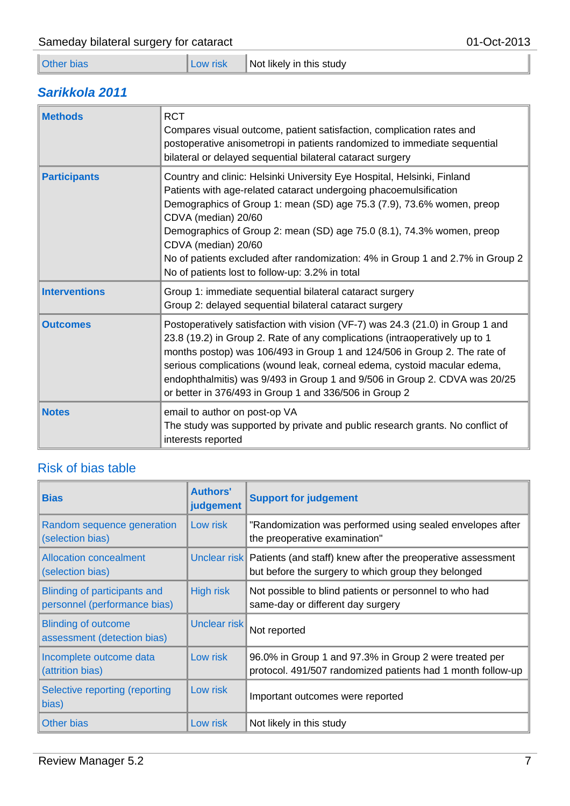|  | ther bias |
|--|-----------|
|  |           |

### *Sarikkola 2011*

| <b>Methods</b>       | <b>RCT</b><br>Compares visual outcome, patient satisfaction, complication rates and<br>postoperative anisometropi in patients randomized to immediate sequential<br>bilateral or delayed sequential bilateral cataract surgery                                                                                                                                                                                                                                                    |
|----------------------|-----------------------------------------------------------------------------------------------------------------------------------------------------------------------------------------------------------------------------------------------------------------------------------------------------------------------------------------------------------------------------------------------------------------------------------------------------------------------------------|
| <b>Participants</b>  | Country and clinic: Helsinki University Eye Hospital, Helsinki, Finland<br>Patients with age-related cataract undergoing phacoemulsification<br>Demographics of Group 1: mean (SD) age 75.3 (7.9), 73.6% women, preop<br>CDVA (median) 20/60<br>Demographics of Group 2: mean (SD) age 75.0 (8.1), 74.3% women, preop<br>CDVA (median) 20/60<br>No of patients excluded after randomization: 4% in Group 1 and 2.7% in Group 2<br>No of patients lost to follow-up: 3.2% in total |
| <b>Interventions</b> | Group 1: immediate sequential bilateral cataract surgery<br>Group 2: delayed sequential bilateral cataract surgery                                                                                                                                                                                                                                                                                                                                                                |
| <b>Outcomes</b>      | Postoperatively satisfaction with vision (VF-7) was 24.3 (21.0) in Group 1 and<br>23.8 (19.2) in Group 2. Rate of any complications (intraoperatively up to 1<br>months postop) was 106/493 in Group 1 and 124/506 in Group 2. The rate of<br>serious complications (wound leak, corneal edema, cystoid macular edema,<br>endophthalmitis) was 9/493 in Group 1 and 9/506 in Group 2. CDVA was 20/25<br>or better in 376/493 in Group 1 and 336/506 in Group 2                    |
| <b>Notes</b>         | email to author on post-op VA<br>The study was supported by private and public research grants. No conflict of<br>interests reported                                                                                                                                                                                                                                                                                                                                              |

### Risk of bias table

| <b>Bias</b>                                                         | <b>Authors'</b><br>judgement | <b>Support for judgement</b>                                                                                                      |
|---------------------------------------------------------------------|------------------------------|-----------------------------------------------------------------------------------------------------------------------------------|
| Random sequence generation<br>(selection bias)                      | Low risk                     | "Randomization was performed using sealed envelopes after<br>the preoperative examination"                                        |
| <b>Allocation concealment</b><br>(selection bias)                   |                              | Unclear risk   Patients (and staff) knew after the preoperative assessment<br>but before the surgery to which group they belonged |
| <b>Blinding of participants and</b><br>personnel (performance bias) | <b>High risk</b>             | Not possible to blind patients or personnel to who had<br>same-day or different day surgery                                       |
| <b>Blinding of outcome</b><br>assessment (detection bias)           | Unclear risk                 | Not reported                                                                                                                      |
| Incomplete outcome data<br>(attrition bias)                         | Low risk                     | 96.0% in Group 1 and 97.3% in Group 2 were treated per<br>protocol. 491/507 randomized patients had 1 month follow-up             |
| Selective reporting (reporting<br>bias)                             | Low risk                     | Important outcomes were reported                                                                                                  |
| Other bias                                                          | Low risk                     | Not likely in this study                                                                                                          |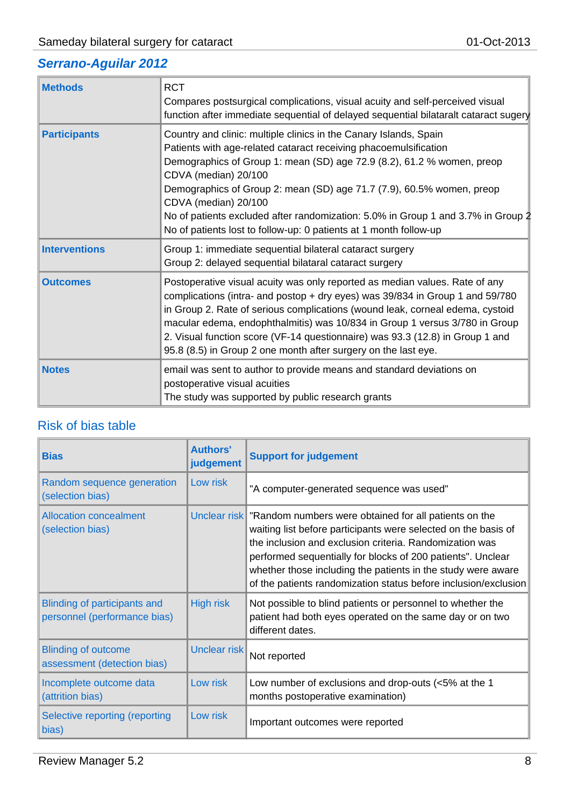### *Serrano-Aguilar 2012*

 $\overline{a}$ 

| <b>Methods</b>       | <b>RCT</b><br>Compares postsurgical complications, visual acuity and self-perceived visual<br>function after immediate sequential of delayed sequential bilataralt cataract sugery                                                                                                                                                                                                                                                                                                                |
|----------------------|---------------------------------------------------------------------------------------------------------------------------------------------------------------------------------------------------------------------------------------------------------------------------------------------------------------------------------------------------------------------------------------------------------------------------------------------------------------------------------------------------|
| <b>Participants</b>  | Country and clinic: multiple clinics in the Canary Islands, Spain<br>Patients with age-related cataract receiving phacoemulsification<br>Demographics of Group 1: mean (SD) age 72.9 (8.2), 61.2 % women, preop<br>CDVA (median) 20/100<br>Demographics of Group 2: mean (SD) age 71.7 (7.9), 60.5% women, preop<br>CDVA (median) 20/100<br>No of patients excluded after randomization: 5.0% in Group 1 and 3.7% in Group 2<br>No of patients lost to follow-up: 0 patients at 1 month follow-up |
| <b>Interventions</b> | Group 1: immediate sequential bilateral cataract surgery<br>Group 2: delayed sequential bilataral cataract surgery                                                                                                                                                                                                                                                                                                                                                                                |
| <b>Outcomes</b>      | Postoperative visual acuity was only reported as median values. Rate of any<br>complications (intra- and postop + dry eyes) was 39/834 in Group 1 and 59/780<br>in Group 2. Rate of serious complications (wound leak, corneal edema, cystoid<br>macular edema, endophthalmitis) was 10/834 in Group 1 versus 3/780 in Group<br>2. Visual function score (VF-14 questionnaire) was 93.3 (12.8) in Group 1 and<br>95.8 (8.5) in Group 2 one month after surgery on the last eye.                   |
| <b>Notes</b>         | email was sent to author to provide means and standard deviations on<br>postoperative visual acuities<br>The study was supported by public research grants                                                                                                                                                                                                                                                                                                                                        |

### Risk of bias table

| <b>Bias</b>                                                         | <b>Authors'</b><br>judgement | <b>Support for judgement</b>                                                                                                                                                                                                                                                                                                                                                                      |
|---------------------------------------------------------------------|------------------------------|---------------------------------------------------------------------------------------------------------------------------------------------------------------------------------------------------------------------------------------------------------------------------------------------------------------------------------------------------------------------------------------------------|
| Random sequence generation<br>(selection bias)                      | Low risk                     | "A computer-generated sequence was used"                                                                                                                                                                                                                                                                                                                                                          |
| <b>Allocation concealment</b><br>(selection bias)                   |                              | Unclear risk Trandom numbers were obtained for all patients on the<br>waiting list before participants were selected on the basis of<br>the inclusion and exclusion criteria. Randomization was<br>performed sequentially for blocks of 200 patients". Unclear<br>whether those including the patients in the study were aware<br>of the patients randomization status before inclusion/exclusion |
| <b>Blinding of participants and</b><br>personnel (performance bias) | High risk                    | Not possible to blind patients or personnel to whether the<br>patient had both eyes operated on the same day or on two<br>different dates.                                                                                                                                                                                                                                                        |
| <b>Blinding of outcome</b><br>assessment (detection bias)           | Unclear risk                 | Not reported                                                                                                                                                                                                                                                                                                                                                                                      |
| Incomplete outcome data<br>(attrition bias)                         | Low risk                     | Low number of exclusions and drop-outs $\left\langle 5\% \right\rangle$ at the 1<br>months postoperative examination)                                                                                                                                                                                                                                                                             |
| Selective reporting (reporting<br>bias)                             | Low risk                     | Important outcomes were reported                                                                                                                                                                                                                                                                                                                                                                  |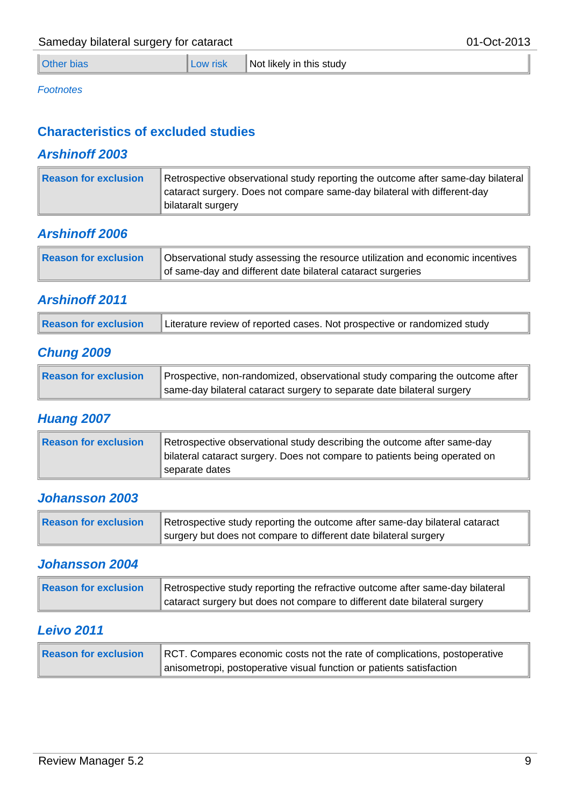| <b>Other bias</b> | Low risk | Not likely in this study |
|-------------------|----------|--------------------------|
|-------------------|----------|--------------------------|

#### *Footnotes*

### **Characteristics of excluded studies**

### *Arshinoff 2003*

| Reason for exclusion | Retrospective observational study reporting the outcome after same-day bilateral |
|----------------------|----------------------------------------------------------------------------------|
|                      | cataract surgery. Does not compare same-day bilateral with different-day         |
|                      | bilataralt surgery                                                               |

### *Arshinoff 2006*

| Reason for exclusion | Observational study assessing the resource utilization and economic incentives |
|----------------------|--------------------------------------------------------------------------------|
|                      | of same-day and different date bilateral cataract surgeries                    |

### *Arshinoff 2011*

| <b>Reason for exclusion</b><br>Literature review of reported cases. Not prospective or randomized study |
|---------------------------------------------------------------------------------------------------------|
|---------------------------------------------------------------------------------------------------------|

### *Chung 2009*

| Reason for exclusion | ▲ Prospective, non-randomized, observational study comparing the outcome after |
|----------------------|--------------------------------------------------------------------------------|
|                      | same-day bilateral cataract surgery to separate date bilateral surgery         |

### *Huang 2007*

| Reason for exclusion | Retrospective observational study describing the outcome after same-day<br>bilateral cataract surgery. Does not compare to patients being operated on<br>separate dates |
|----------------------|-------------------------------------------------------------------------------------------------------------------------------------------------------------------------|
|----------------------|-------------------------------------------------------------------------------------------------------------------------------------------------------------------------|

### *Johansson 2003*

| Reason for exclusion | Retrospective study reporting the outcome after same-day bilateral cataract |
|----------------------|-----------------------------------------------------------------------------|
|                      | surgery but does not compare to different date bilateral surgery            |

### *Johansson 2004*

| Reason for exclusion | Retrospective study reporting the refractive outcome after same-day bilateral |
|----------------------|-------------------------------------------------------------------------------|
|                      | cataract surgery but does not compare to different date bilateral surgery     |

### *Leivo 2011*

| Reason for exclusion | RCT. Compares economic costs not the rate of complications, postoperative |
|----------------------|---------------------------------------------------------------------------|
|                      | anisometropi, postoperative visual function or patients satisfaction      |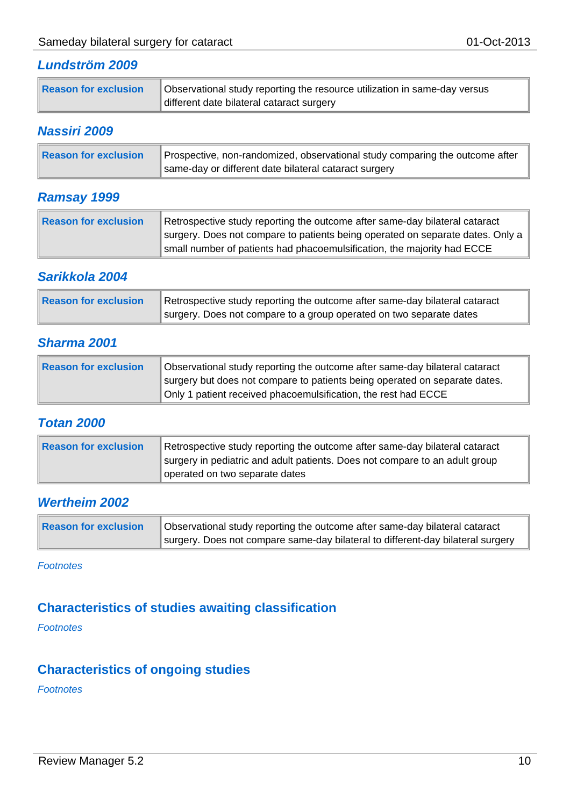### *Lundström 2009*

| Observational study reporting the resource utilization in same-day versus<br>Reason for exclusion<br>different date bilateral cataract surgery |
|------------------------------------------------------------------------------------------------------------------------------------------------|
|------------------------------------------------------------------------------------------------------------------------------------------------|

#### *Nassiri 2009*

| Reason for exclusion | Prospective, non-randomized, observational study comparing the outcome after |
|----------------------|------------------------------------------------------------------------------|
|                      | same-day or different date bilateral cataract surgery                        |

### *Ramsay 1999*

| Reason for exclusion | Retrospective study reporting the outcome after same-day bilateral cataract    |
|----------------------|--------------------------------------------------------------------------------|
|                      | surgery. Does not compare to patients being operated on separate dates. Only a |
|                      | small number of patients had phacoemulsification, the majority had ECCE        |

### *Sarikkola 2004*

| Reason for exclusion | Retrospective study reporting the outcome after same-day bilateral cataract |
|----------------------|-----------------------------------------------------------------------------|
|                      | surgery. Does not compare to a group operated on two separate dates         |

### *Sharma 2001*

| Reason for exclusion | Observational study reporting the outcome after same-day bilateral cataract |
|----------------------|-----------------------------------------------------------------------------|
|                      | surgery but does not compare to patients being operated on separate dates.  |
|                      | Only 1 patient received phacoemulsification, the rest had ECCE              |

### *Totan 2000*

| Reason for exclusion | Retrospective study reporting the outcome after same-day bilateral cataract<br>surgery in pediatric and adult patients. Does not compare to an adult group |
|----------------------|------------------------------------------------------------------------------------------------------------------------------------------------------------|
|                      | operated on two separate dates                                                                                                                             |

### *Wertheim 2002*

| Reason for exclusion | Observational study reporting the outcome after same-day bilateral cataract     |
|----------------------|---------------------------------------------------------------------------------|
|                      | surgery. Does not compare same-day bilateral to different-day bilateral surgery |

*Footnotes*

### **Characteristics of studies awaiting classification**

*Footnotes*

### **Characteristics of ongoing studies**

*Footnotes*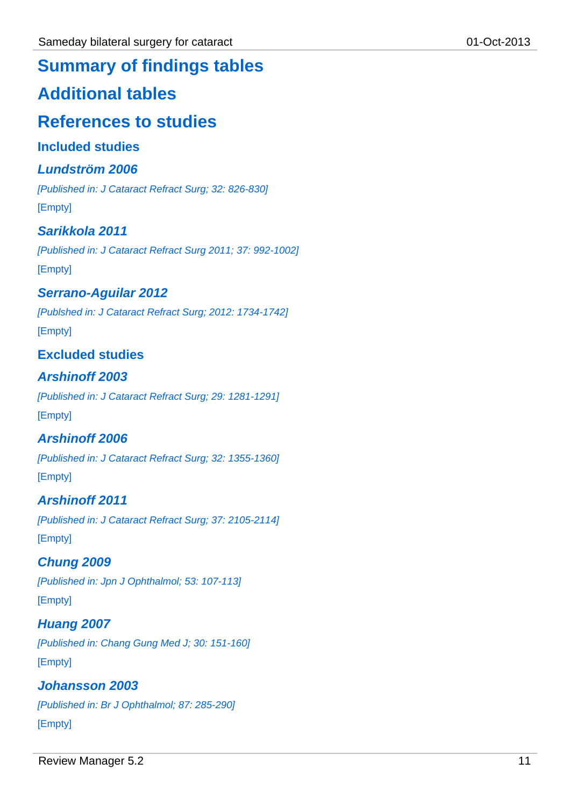## **Summary of findings tables**

## **Additional tables**

## **References to studies**

### **Included studies**

### *Lundström 2006*

*[Published in: J Cataract Refract Surg; 32: 826-830]* [Empty]

### *Sarikkola 2011*

*[Published in: J Cataract Refract Surg 2011; 37: 992-1002]* [Empty]

### *Serrano-Aguilar 2012*

*[Publshed in: J Cataract Refract Surg; 2012: 1734-1742]* [Empty]

### **Excluded studies**

### *Arshinoff 2003*

*[Published in: J Cataract Refract Surg; 29: 1281-1291]* [Empty]

### *Arshinoff 2006*

*[Published in: J Cataract Refract Surg; 32: 1355-1360]* [Empty]

### *Arshinoff 2011*

*[Published in: J Cataract Refract Surg; 37: 2105-2114]* [Empty]

### *Chung 2009*

*[Published in: Jpn J Ophthalmol; 53: 107-113]* [Empty]

### *Huang 2007*

*[Published in: Chang Gung Med J; 30: 151-160]* [Empty]

### *Johansson 2003*

*[Published in: Br J Ophthalmol; 87: 285-290]* [Empty]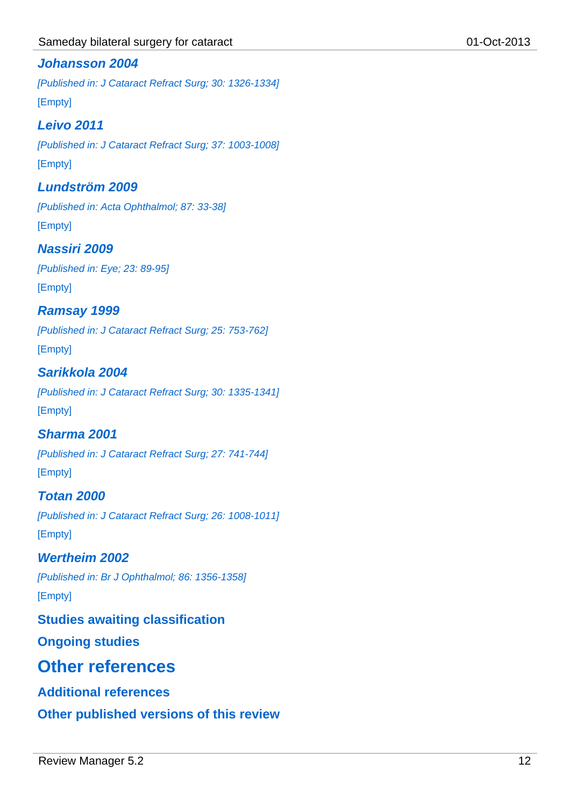### *Johansson 2004*

*[Published in: J Cataract Refract Surg; 30: 1326-1334]* [Empty]

### *Leivo 2011*

*[Published in: J Cataract Refract Surg; 37: 1003-1008]* [Empty]

### *Lundström 2009*

*[Published in: Acta Ophthalmol; 87: 33-38]* [Empty]

### *Nassiri 2009*

*[Published in: Eye; 23: 89-95]* [Empty]

### *Ramsay 1999*

*[Published in: J Cataract Refract Surg; 25: 753-762]* [Empty]

### *Sarikkola 2004*

*[Published in: J Cataract Refract Surg; 30: 1335-1341]* [Empty]

### *Sharma 2001*

*[Published in: J Cataract Refract Surg; 27: 741-744]* [Empty]

## *Totan 2000*

*[Published in: J Cataract Refract Surg; 26: 1008-1011]*

[Empty]

### *Wertheim 2002*

*[Published in: Br J Ophthalmol; 86: 1356-1358]*

[Empty]

### **Studies awaiting classification**

**Ongoing studies**

## **Other references**

### **Additional references**

**Other published versions of this review**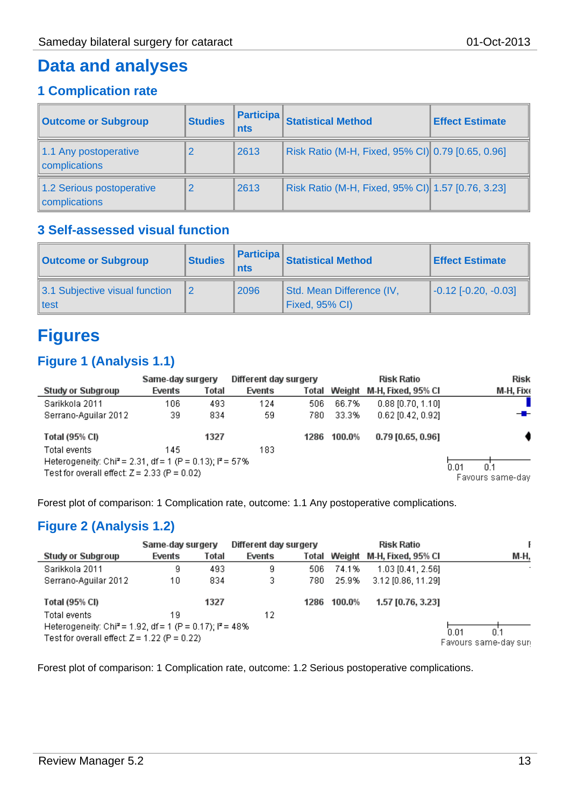### **Data and analyses**

### **1 Complication rate**

| <b>Outcome or Subgroup</b>                 | <b>Studies</b> | <b>Participa</b><br><b>nts</b> | <b>Statistical Method</b>                         | <b>Effect Estimate</b> |  |
|--------------------------------------------|----------------|--------------------------------|---------------------------------------------------|------------------------|--|
| 1.1 Any postoperative<br>complications     | 2              | 2613                           | Risk Ratio (M-H, Fixed, 95% CI) 0.79 [0.65, 0.96] |                        |  |
| 1.2 Serious postoperative<br>complications | $\overline{2}$ | 2613                           | Risk Ratio (M-H, Fixed, 95% CI) 1.57 [0.76, 3.23] |                        |  |

### **3 Self-assessed visual function**

| <b>Outcome or Subgroup</b>                  | <b>Studies</b><br>nts |      | <b>Participa</b> Statistical Method         | <b>Effect Estimate</b>              |
|---------------------------------------------|-----------------------|------|---------------------------------------------|-------------------------------------|
| 3.1 Subjective visual function<br>$\ $ test |                       | 2096 | Std. Mean Difference (IV,<br>Fixed, 95% CI) | $\left[-0.12\right]$ [-0.20, -0.03] |

# **Figures**

### **Figure 1 (Analysis 1.1)**

|                                                                                                                         | Same-day surgery |       | Different day surgery |       |                                 | <b>Risk Ratio</b>         | <b>Risk</b> |
|-------------------------------------------------------------------------------------------------------------------------|------------------|-------|-----------------------|-------|---------------------------------|---------------------------|-------------|
| Study or Subgroup                                                                                                       | Events           | Total | Events                | Total |                                 | Weight M-H, Fixed, 95% CI | M-H, Fixe   |
| Sarikkola 2011                                                                                                          | 106              | 493   | 124                   | 506   | 66.7%                           | $0.88$ [0.70, 1.10]       |             |
| Serrano-Aquilar 2012                                                                                                    | 39               | 834   | 59                    | 780   | 33.3%                           | $0.62$ [0.42, 0.92]       | $-$         |
| Total (95% CI)                                                                                                          |                  | 1327  |                       | 1286  | 100.0%                          | 0.79 [0.65, 0.96]         |             |
| Total events                                                                                                            | 145              |       | 183                   |       |                                 |                           |             |
| Heterogeneity: Chi <sup>2</sup> = 2.31, df = 1 (P = 0.13); $P = 57\%$<br>Test for overall effect: $Z = 2.33$ (P = 0.02) |                  |       |                       |       | 0.01<br>0.1<br>Favours same-day |                           |             |

Forest plot of comparison: 1 Complication rate, outcome: 1.1 Any postoperative complications.

### **Figure 2 (Analysis 1.2)**

|                                                                                                                          | Same-day surgery |       | Different day surgery |      |                                     | <b>Risk Ratio</b>               |      |
|--------------------------------------------------------------------------------------------------------------------------|------------------|-------|-----------------------|------|-------------------------------------|---------------------------------|------|
| Study or Subgroup                                                                                                        | Events           | Total | Events                |      |                                     | Total Weight M-H, Fixed, 95% Cl | М-Н. |
| Sarikkola 2011                                                                                                           | g                | 493   | 9                     | 506  | 74.1%                               | 1.03 [0.41, 2.56]               |      |
| Serrano-Aquilar 2012                                                                                                     | 10               | 834   | 3                     | 780. | 25.9%                               | 3.12 [0.86, 11.29]              |      |
| <b>Total (95% CI)</b>                                                                                                    |                  | 1327  |                       |      | 1286 100.0%                         | 1.57 [0.76, 3.23]               |      |
| Total events                                                                                                             | 19               |       | 12                    |      |                                     |                                 |      |
| Heterogeneity: Chi <sup>2</sup> = 1.92, df = 1 (P = 0.17); $I^2$ = 48%<br>Test for overall effect: $Z = 1.22$ (P = 0.22) |                  |       |                       |      | 0.01<br>0.1<br>Favours same-day sun |                                 |      |

Forest plot of comparison: 1 Complication rate, outcome: 1.2 Serious postoperative complications.